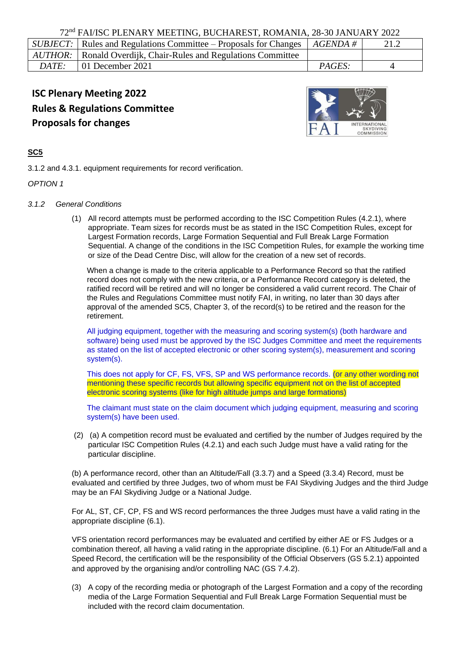|              | <i>SUBJECT</i> : Rules and Regulations Committee – Proposals for Changes $ AGENDA \#$ |               | 21.2 |
|--------------|---------------------------------------------------------------------------------------|---------------|------|
|              | AUTHOR:   Ronald Overdijk, Chair-Rules and Regulations Committee                      |               |      |
| <i>DATE:</i> | $\vert$ 01 December 2021                                                              | <i>PAGES:</i> |      |

# **ISC Plenary Meeting 2022 Rules & Regulations Committee Proposals for changes**



# **SC5**

3.1.2 and 4.3.1. equipment requirements for record verification.

## *OPTION 1*

#### *3.1.2 General Conditions*

(1) All record attempts must be performed according to the ISC Competition Rules (4.2.1), where appropriate. Team sizes for records must be as stated in the ISC Competition Rules, except for Largest Formation records, Large Formation Sequential and Full Break Large Formation Sequential. A change of the conditions in the ISC Competition Rules, for example the working time or size of the Dead Centre Disc, will allow for the creation of a new set of records.

When a change is made to the criteria applicable to a Performance Record so that the ratified record does not comply with the new criteria, or a Performance Record category is deleted, the ratified record will be retired and will no longer be considered a valid current record. The Chair of the Rules and Regulations Committee must notify FAI, in writing, no later than 30 days after approval of the amended SC5, Chapter 3, of the record(s) to be retired and the reason for the retirement.

All judging equipment, together with the measuring and scoring system(s) (both hardware and software) being used must be approved by the ISC Judges Committee and meet the requirements as stated on the list of accepted electronic or other scoring system(s), measurement and scoring system(s).

This does not apply for CF, FS, VFS, SP and WS performance records. (or any other wording not mentioning these specific records but allowing specific equipment not on the list of accepted electronic scoring systems (like for high altitude jumps and large formations)

The claimant must state on the claim document which judging equipment, measuring and scoring system(s) have been used.

(2) (a) A competition record must be evaluated and certified by the number of Judges required by the particular ISC Competition Rules (4.2.1) and each such Judge must have a valid rating for the particular discipline.

(b) A performance record, other than an Altitude/Fall (3.3.7) and a Speed (3.3.4) Record, must be evaluated and certified by three Judges, two of whom must be FAI Skydiving Judges and the third Judge may be an FAI Skydiving Judge or a National Judge.

For AL, ST, CF, CP, FS and WS record performances the three Judges must have a valid rating in the appropriate discipline (6.1).

VFS orientation record performances may be evaluated and certified by either AE or FS Judges or a combination thereof, all having a valid rating in the appropriate discipline. (6.1) For an Altitude/Fall and a Speed Record, the certification will be the responsibility of the Official Observers (GS 5.2.1) appointed and approved by the organising and/or controlling NAC (GS 7.4.2).

(3) A copy of the recording media or photograph of the Largest Formation and a copy of the recording media of the Large Formation Sequential and Full Break Large Formation Sequential must be included with the record claim documentation.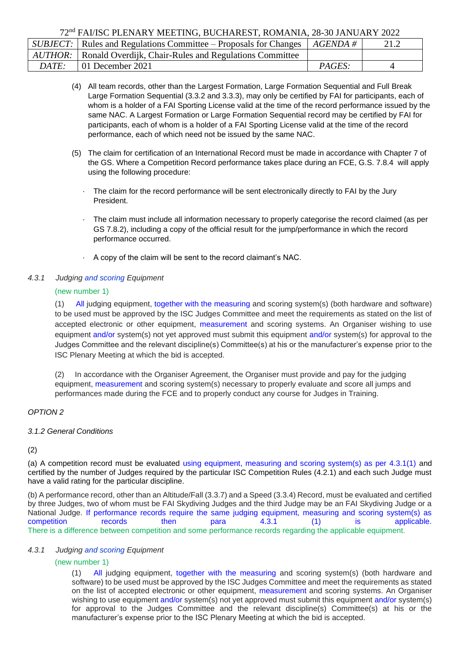|       | <i>SUBJECT</i> : Rules and Regulations Committee – Proposals for Changes $\mid$ <i>AGENDA #</i> |               | 21.2 |
|-------|-------------------------------------------------------------------------------------------------|---------------|------|
|       | <i>AUTHOR:</i> Ronald Overdijk, Chair-Rules and Regulations Committee                           |               |      |
| DATE: | $\perp$ 01 December 2021                                                                        | <i>PAGES:</i> |      |
|       |                                                                                                 |               |      |

- (4) All team records, other than the Largest Formation, Large Formation Sequential and Full Break Large Formation Sequential (3.3.2 and 3.3.3), may only be certified by FAI for participants, each of whom is a holder of a FAI Sporting License valid at the time of the record performance issued by the same NAC. A Largest Formation or Large Formation Sequential record may be certified by FAI for participants, each of whom is a holder of a FAI Sporting License valid at the time of the record performance, each of which need not be issued by the same NAC.
- (5) The claim for certification of an International Record must be made in accordance with Chapter 7 of the GS. Where a Competition Record performance takes place during an FCE, G.S. 7.8.4 will apply using the following procedure:
	- The claim for the record performance will be sent electronically directly to FAI by the Jury President.
	- The claim must include all information necessary to properly categorise the record claimed (as per GS 7.8.2), including a copy of the official result for the jump/performance in which the record performance occurred.
	- · A copy of the claim will be sent to the record claimant's NAC.

# *4.3.1 Judging and scoring Equipment*

# (new number 1)

(1) All judging equipment, together with the measuring and scoring system(s) (both hardware and software) to be used must be approved by the ISC Judges Committee and meet the requirements as stated on the list of accepted electronic or other equipment, measurement and scoring systems. An Organiser wishing to use equipment and/or system(s) not yet approved must submit this equipment and/or system(s) for approval to the Judges Committee and the relevant discipline(s) Committee(s) at his or the manufacturer's expense prior to the ISC Plenary Meeting at which the bid is accepted.

(2) In accordance with the Organiser Agreement, the Organiser must provide and pay for the judging equipment, measurement and scoring system(s) necessary to properly evaluate and score all jumps and performances made during the FCE and to properly conduct any course for Judges in Training.

# *OPTION 2*

## *3.1.2 General Conditions*

## (2)

(a) A competition record must be evaluated using equipment, measuring and scoring system(s) as per 4.3.1(1) and certified by the number of Judges required by the particular ISC Competition Rules (4.2.1) and each such Judge must have a valid rating for the particular discipline.

(b) A performance record, other than an Altitude/Fall (3.3.7) and a Speed (3.3.4) Record, must be evaluated and certified by three Judges, two of whom must be FAI Skydiving Judges and the third Judge may be an FAI Skydiving Judge or a National Judge. If performance records require the same judging equipment, measuring and scoring system(s) as competition records then para 4.3.1 (1) is applicable. There is a difference between competition and some performance records regarding the applicable equipment.

## *4.3.1 Judging and scoring Equipment*

# (new number 1)

(1) All judging equipment, together with the measuring and scoring system(s) (both hardware and software) to be used must be approved by the ISC Judges Committee and meet the requirements as stated on the list of accepted electronic or other equipment, measurement and scoring systems. An Organiser wishing to use equipment and/or system(s) not yet approved must submit this equipment and/or system(s) for approval to the Judges Committee and the relevant discipline(s) Committee(s) at his or the manufacturer's expense prior to the ISC Plenary Meeting at which the bid is accepted.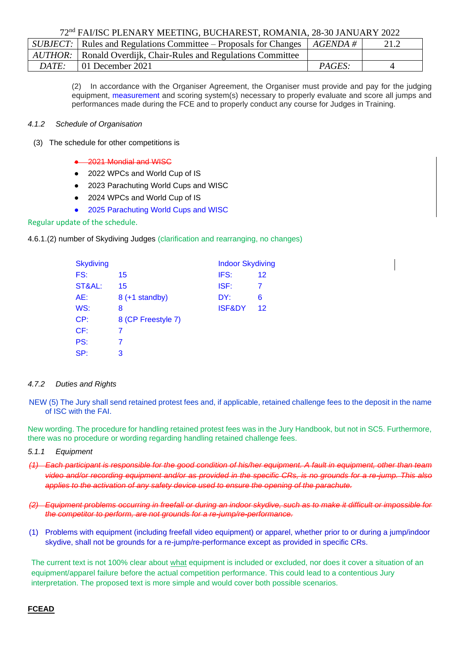|       | <i>SUBJECT</i> : Rules and Regulations Committee – Proposals for Changes $ AGENDA  \neq$ |               | 21.2 |
|-------|------------------------------------------------------------------------------------------|---------------|------|
|       | <i>AUTHOR:</i>   Ronald Overdijk, Chair-Rules and Regulations Committee                  |               |      |
| DATE: | $\mid$ 01 December 2021                                                                  | <i>PAGES:</i> |      |

(2) In accordance with the Organiser Agreement, the Organiser must provide and pay for the judging equipment, measurement and scoring system(s) necessary to properly evaluate and score all jumps and performances made during the FCE and to properly conduct any course for Judges in Training.

#### *4.1.2 Schedule of Organisation*

- (3) The schedule for other competitions is
	- 2021 Mondial and WISC
	- 2022 WPCs and World Cup of IS
	- 2023 Parachuting World Cups and WISC
	- 2024 WPCs and World Cup of IS
	- 2025 Parachuting World Cups and WISC

#### Regular update of the schedule.

4.6.1.(2) number of Skydiving Judges (clarification and rearranging, no changes)

| <b>Skydiving</b> |                      | <b>Indoor Skydiving</b> |    |
|------------------|----------------------|-------------------------|----|
| FS:              | 15                   | IFS:                    | 12 |
| ST&AL:           | 15                   | ISF:                    | 7  |
| AE:              | $8 (+1 standard by)$ | DY:                     | 6  |
| WS:              | 8                    | <b>ISF&amp;DY</b>       | 12 |
| CP:              | 8 (CP Freestyle 7)   |                         |    |
| CF:              | 7                    |                         |    |
| PS:              | 7                    |                         |    |
| SP:              | 3                    |                         |    |

#### *4.7.2 Duties and Rights*

NEW (5) The Jury shall send retained protest fees and, if applicable, retained challenge fees to the deposit in the name of ISC with the FAI.

New wording. The procedure for handling retained protest fees was in the Jury Handbook, but not in SC5. Furthermore, there was no procedure or wording regarding handling retained challenge fees.

#### *5.1.1 Equipment*

- *(1) Each participant is responsible for the good condition of his/her equipment. A fault in equipment, other than team video and/or recording equipment and/or as provided in the specific CRs, is no grounds for a re-jump. This also applies to the activation of any safety device used to ensure the opening of the parachute.*
- *(2) Equipment problems occurring in freefall or during an indoor skydive, such as to make it difficult or impossible for the competitor to perform, are not grounds for a re-jump/re-performance.*
- (1) Problems with equipment (including freefall video equipment) or apparel, whether prior to or during a jump/indoor skydive, shall not be grounds for a re-jump/re-performance except as provided in specific CRs.

The current text is not 100% clear about what equipment is included or excluded, nor does it cover a situation of an equipment/apparel failure before the actual competition performance. This could lead to a contentious Jury interpretation. The proposed text is more simple and would cover both possible scenarios.